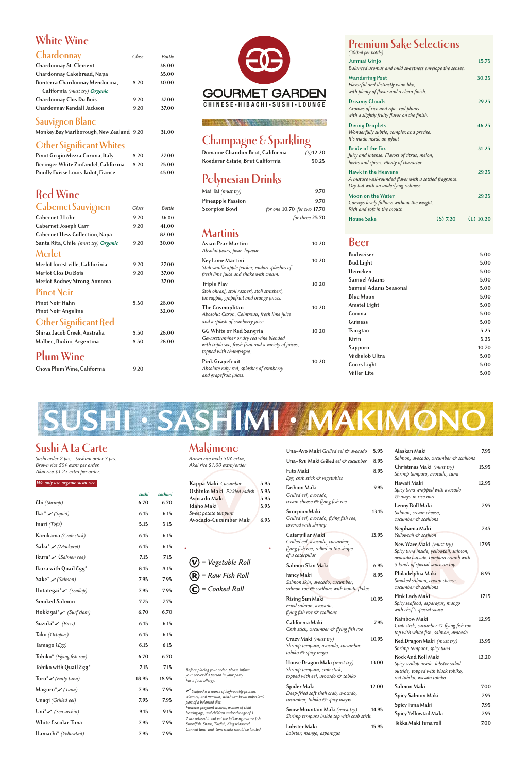## **White Wine**

| Chardonnay                     | Glass | <b>Bottle</b> |
|--------------------------------|-------|---------------|
| Chardonnay St. Clement         |       | 38.00         |
| Chardonnay Cakebread, Napa     |       | 55.00         |
| Bonterra Chardonnay Mendocina, | 8.20  | 30.00         |
| California (must try) Organic  |       |               |
| Chardonnay Clos Du Bois        | 9.20  | 37.00         |
| Chardonnay Kendall Jackson     | 9.20  | 37.00         |

#### **Sauvignon Blanc**

| Monkey Bay Marlborough, New Zealand 9.20 |  |  |  |  | 31.00 |
|------------------------------------------|--|--|--|--|-------|
|------------------------------------------|--|--|--|--|-------|

#### **Other Significant Whites**

| Pinot Grigio Mezza Corona, Italy     | 8.20 | 27.00 |
|--------------------------------------|------|-------|
| Beringer White Zinfandel, California | 8.20 | 25.00 |
| Pouilly Fuisse Louis Jadot, France   |      | 45.00 |

## **Red Wine**

| <b>Cabernet Sauvignon</b>             | Glass | Bottle |
|---------------------------------------|-------|--------|
| Cabernet J Lohr                       | 9.20  | 36.00  |
| Cabernet Joseph Carr                  | 9.20  | 41.00  |
| <b>Cabernet Hess Collection, Napa</b> |       | 82.00  |
| Santa Rita, Chile (must try) Organic  | 9.20  | 30.00  |
| Merlot                                |       |        |
| Merlot forest ville, Califorinia      | 9.20  | 27.00  |
| Merlot Clos Du Bois                   | 9.20  | 37.00  |
| Merlot Rodney Strong, Sonoma          |       | 37.00  |
| <b>Pinot Noir</b>                     |       |        |
| Pinot Noir Hahn                       | 8.50  | 28.00  |
| Pinot Noir Angeline                   |       | 32.00  |
| Other Significant Red                 |       |        |
| Shiraz Jacob Creek, Australia         | 8.50  | 28.00  |
| Malbec, Budini, Argentina             | 8.50  | 28.00  |
|                                       |       |        |

#### **Plum Wine**

**Choya Plum Wine, California 9.20**

#### **Champagne & Sparkling**

All Subscribed and the Second

| $\sim$                           |          |
|----------------------------------|----------|
| Domaine Chandon Brut, California | (S)12.20 |
| Roederer Estate, Brut California | 50.25    |

## **Polynesian Drinks**

| Mai Tai (must try)   | 9.70                        |
|----------------------|-----------------------------|
| Pineapple Passion    | 9.70                        |
| <b>Scorpion Bowl</b> | for one 10.70 for two 17.70 |
|                      | for three 25.70             |

## **Martinis**

| Asian Pear Martini<br>Absolut pears, pear liqueur.                                                                                                   | 10.20 |
|------------------------------------------------------------------------------------------------------------------------------------------------------|-------|
| Key Lime Martini<br>Stoli vanilla apple packer, midori splashes of<br>fresh lime juice and shake with cream.                                         | 10.20 |
| <b>Triple Play</b><br>Stoli ohranj, stoli razberi, stoli strasberi,<br>pineapple, grapefruit and orange juices.                                      | 10.20 |
| The Cosmoplitan<br>Abosolut Citron, Cointreau, fresh lime juice<br>and a splash of cranberry juice.                                                  | 10.20 |
| GG White or Red Sangria<br>Gewurztraminer or dry red wine blended<br>with triple sec, fresh fruit and a variety of juices,<br>topped with champagne. | 10.20 |
| Pink Grapefruit<br>Absolute ruby red, splashes of cranberry<br>and grapefruit juices.                                                                | 10.20 |



## **Premium Sake Selections**

| (300ml per bottle)                                                                                                           |          |             |
|------------------------------------------------------------------------------------------------------------------------------|----------|-------------|
| Junmai Ginjo<br>Balanced aromas and mild sweetness envelope the senses.                                                      |          | 15.75       |
| <b>Wandering Poet</b><br>Flavorful and distinctly wine-like,<br>with plenty of flavor and a clean finish.                    |          | 30.25       |
| <b>Dreamy Clouds</b><br>Aromas of rice and ripe, red plums<br>with a slightly fruity flavor on the finish.                   |          | 29.25       |
| <b>Diving Droplets</b><br>Wonderfully subtle, complex and precise.<br>It's made inside an igloo!                             |          | 46.25       |
| <b>Bride of the Fox</b><br>Juicy and intense. Flavors of citrus, melon,<br>herbs and spices. Plenty of character.            |          | 31.25       |
| <b>Hawk in the Heavens</b><br>A mature well-rounded flavor with a settled fragrance.<br>Dry but with an underlying richness. |          | 29.25       |
| Moon on the Water<br>Conveys lovely fullness without the weight.<br>Rich and soft in the mouth.                              |          | 29.25       |
| <b>House Sake</b>                                                                                                            | (5) 7.20 | $(L)$ 10.20 |

#### **Beer**

| <b>Budweiser</b>             | 5.00  |
|------------------------------|-------|
| <b>Bud Light</b>             | 5.00  |
| Heineken                     | 5.00  |
| <b>Samuel Adams</b>          | 5.00  |
| <b>Samuel Adams Seasonal</b> | 5.00  |
| <b>Blue Moon</b>             | 5.00  |
| Amstel Light                 | 5.00  |
| Corona                       | 5.00  |
| Guiness                      | 5.00  |
| Tsingtao                     | 5.25  |
| Kirin                        | 5.25  |
| Sapporo                      | 10.70 |
| Michelob Ultra               | 5.00  |
| Coors Light                  | 5.00  |
| Miller Lite                  | 5.00  |

## **Sushi A La Carte**

*Sushi order 2 pcs; Sashimi order 3 pcs. Brown rice 50¢ extra per order. Akai rice \$1.25 extra per order.*

|             |      | sushi sashimi |
|-------------|------|---------------|
| Ebi(Shrimp) | 6.70 | 6.70          |

#### *We only use organic sushi rice.*

### **Makimono**

*Brown rice maki 50¢ extra, Akai rice \$1.00 extra/order*

| Kappa Maki Cucumber         | 5.95 |
|-----------------------------|------|
| Oshinko Maki Pickled radish | 5.95 |
| Avocado Maki                | 5.95 |
| Idaho Maki                  | 5.95 |

| Ika * $\rightarrow$ (Squid)         | 6.15  | 6.15  | Sweet potato tempura<br>6.95<br>Avocado-Cucumber Maki                                             | Scorpion Maki<br>Grilled eel, avocado, flying fish roe,                                     | 13.15 | Salmon, cream cheese,<br>cucumber & scallions                                                  |              |
|-------------------------------------|-------|-------|---------------------------------------------------------------------------------------------------|---------------------------------------------------------------------------------------------|-------|------------------------------------------------------------------------------------------------|--------------|
| Inari $(Tofu)$                      | 5.15  | 5.15  |                                                                                                   | covered with shrimp                                                                         |       | Negihama Maki                                                                                  | 7.45         |
| Kanikama (Crab stick)               | 6.15  | 6.15  |                                                                                                   | Caterpillar Maki                                                                            | 13.95 | Yellowtail & scallion                                                                          |              |
| $Saba^*$ / (Mackerel)               | 6.15  | 6.15  |                                                                                                   | Grilled eel, avocado, cucumber,<br>flying fish roe, rolled in the shape<br>of a caterpillar |       | New Wave Maki (must try)<br>Spicy tuna inside, yellowtail, salmon,                             | 17.95        |
| $lkura^*$ (Salmon roe)              | 7.15  | 7.15  | $(V)$ = Vegetable Roll                                                                            |                                                                                             |       | avocado outside. Tempura crumb with<br>3 kinds of special sauce on top                         |              |
| Ikura with Quail Egg*               | 8.15  | 8.15  |                                                                                                   | Salmon Skin Maki                                                                            | 6.95  |                                                                                                | 8.95         |
| Sake* $\angle$ (Salmon)             | 7.95  | 7.95  | $(R)$ = Raw Fish Roll                                                                             | <b>Fancy Maki</b><br>Salmon skin, avocado, cucumber,                                        | 8.95  | Philadelphia Maki<br>Smoked salmon, cream cheese,                                              |              |
| Hotategai*/ (Scallop)               | 7.95  | 7.95  | $(C)$ = Cooked Roll                                                                               | salmon roe & scallions with bonito flakes                                                   |       | $cuchmber \circ$ scallions                                                                     |              |
| <b>Smoked Salmon</b>                | 7.75  | 7.75  |                                                                                                   | <b>Rising Sun Maki</b><br>Fried salmon, avocado,                                            | 10.95 | Pink Lady Maki<br>Spicy seafood, asparagus, mango                                              | 17.15        |
| Hokkigai*/ (Surf clam)              | 6.70  | 6.70  |                                                                                                   | flying fish roe & scallions                                                                 |       | with chef's special sauce                                                                      |              |
| Suzuki* $\rightarrow$ (Bass)        | 6.15  | 6.15  |                                                                                                   | California Maki<br>Crab stick, cucumber & flying fish roe                                   | 7.95  | Rainbow Maki<br>Crab stick, cucumber & flying fish roe<br>top with white fish, salmon, avocado | 12.95        |
| Tako (Octopus)                      | 6.15  | 6.15  |                                                                                                   | Crazy Maki (must try)                                                                       | 10.95 | Red Dragon Maki (must try)                                                                     | 13.95        |
| Tamago (Egg)                        | 6.15  | 6.15  |                                                                                                   | Shrimp tempura, avocado, cucumber,<br>tobiko & spicy mayo                                   |       | Shrimp tempura, spicy tuna                                                                     |              |
| Tobiko* (Flying fish roe)           | 6.70  | 6.70  |                                                                                                   |                                                                                             |       | Rock And Roll Maki                                                                             | 12.20        |
| Tobiko with Quail Egg*              | 7.15  | 7.15  | Before placing your order, please inform                                                          | House Dragon Maki (must try)<br>Shrimp tempura, crab stick,                                 | 13.00 | Spicy scallop inside, lobster salad<br>outside, topped with black tobiko,                      |              |
| Toro* $\bigtriangleup$ (Fatty tuna) | 18.95 | 18.95 | your server if a person in your party<br>has a food allergy.                                      | topped with eel, avocado & tobiko                                                           |       | red tobiko, wasabi tobiko                                                                      |              |
| Maguro*/(Tuna)                      | 7.95  | 7.95  | Seafood is a source of high-quality protein,                                                      | Spider Maki<br>Deep-fried soft shell crab, avocado,                                         | 12.00 | Salmon Maki                                                                                    | 7.00         |
| Unagi (Grilled eel)                 | 7.95  | 7.95  | vitamins, and minerals, which can be an important<br>part of a balanced diet.                     | cucumber, tobiko & spicy mayo                                                               |       | Spicy Salmon Maki<br>Spicy Tuna Maki                                                           | 7.95<br>7.95 |
| Uni <sup>*</sup> / (Sea urchin)     | 9.15  | 9.15  | However pregnant women, women of child<br>bearing age, and children under the age of 1            | Snow Mountain Maki (must try)                                                               | 14.95 | Spicy Yellowtail Maki                                                                          | 7.95         |
| White Escolar Tuna                  | 7.95  | 7.95  | 2 are advised to not eat the following marine fish:<br>Swordfish, Shark, Tilefish, King Mackerel, | Shrimp tempura inside top with crab stick                                                   |       | Tekka Maki Tuna roll                                                                           | 7.00         |
| Hamachi* (Yellowtail)               | 7.95  | 7.95  | Canned tuna and tuna steaks should be limited.                                                    | Lobster Maki<br>Lobster, mango, asparagus                                                   | 15.95 |                                                                                                |              |

| Una–Avo Maki Grilled eel & avocado     8.95 |      | Alaskan Maki                                                          | 7.95  |
|---------------------------------------------|------|-----------------------------------------------------------------------|-------|
| Una-Kyu Maki Grilled eel & cucumber         | 8.95 | Salmon, avocado, cucumber & scallions                                 |       |
| Futo Maki<br>Egg, crab stick & vegetables   | 8.95 | Christmas Maki (must try)<br>Shrimp tempura, avocado, tuna            | 15.95 |
| Fashion Maki<br>Grilled eel, avocado,       | 9.95 | Hawaii Maki<br>Spicy tuna wrapped with avocado<br>& mayo in rice nori | 12.95 |
| cream cheese & flying fish roe              |      | Lenny Roll Maki                                                       | 7.95  |

# **SUSHI • SASHIMI • MAKIMONO**